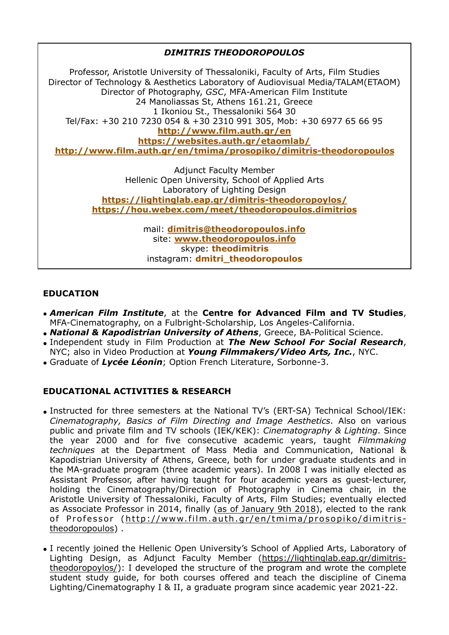*DIMITRIS THEODOROPOULOS* Professor, Aristotle University of Thessaloniki, Faculty of Arts, Film Studies Director of Technology & Aesthetics Laboratory of Audiovisual Media/TALAM(ETAOM) Director of Photography, *GSC*, MFA-American Film Institute 24 Manoliassas St, Athens 161.21, Greece 1 Ikoniou St., Thessaloniki 564 30 Tel/Fax: +30 210 7230 054 & +30 2310 991 305, Mob: +30 6977 65 66 95 **<http://www.film.auth.gr/en> <https://websites.auth.gr/etaomlab/> <http://www.film.auth.gr/en/tmima/prosopiko/dimitris-theodoropoulos>**  Adjunct Faculty Member Hellenic Open University, School of Applied Arts Laboratory of Lighting Design **<https://lightinglab.eap.gr/dimitris-theodoropoylos/> <https://hou.webex.com/meet/theodoropoulos.dimitrios>**  mail: **[dimitris@theodoropoulos.info](mailto:dimitris@theodoropoulos.info)** site: **[www.theodoropoulos.info](http://www.theodoropoulos.info)** skype: **theodimitris** 

# **EDUCATION**

• *American Film Institute*, at the **Centre for Advanced Film and TV Studies**, MFA-Cinematography, on a Fulbright-Scholarship, Los Angeles-California.

instagram: **dmitri\_theodoropoulos** 

- *National & Kapodistrian University of Athens*, Greece, BA-Political Science.
- Independent study in Film Production at *The New School For Social Research*, NYC; also in Video Production at *Young Filmmakers/Video Arts, Inc.*, NYC.
- Graduate of *Lycée Léonin*; Option French Literature, Sorbonne-3.

### **EDUCATIONAL ACTIVITIES & RESEARCH**

- Instructed for three semesters at the National TV's (ERT-SA) Technical School/IEK: *Cinematography, Basics of Film Directing and Image Aesthetics*. Also on various public and private film and TV schools (IEK/KEK): *Cinematography & Lighting*. Since the year 2000 and for five consecutive academic years, taught *Filmmaking techniques* at the Department of Mass Media and Communication, National & Kapodistrian University of Athens, Greece, both for under graduate students and in the MA-graduate program (three academic years). In 2008 I was initially elected as Assistant Professor, after having taught for four academic years as guest-lecturer, holding the Cinematography/Direction of Photography in Cinema chair, in the Aristotle University of Thessaloniki, Faculty of Arts, Film Studies; eventually elected as Associate Professor in 2014, finally (as of January 9th 2018), elected to the rank of Professor (http://www.film.auth.gr/en/tmima/prosopiko/dimitristheodoropoulos) .
- I recently joined the Hellenic Open University's School of Applied Arts, Laboratory of Lighting Design, as Adjunct Faculty Member (https://lightinglab.eap.gr/dimitris[theodoropoylos/\): I developed the structure of the program and wrote the complete](https://lightinglab.eap.gr/dimitris-theodoropoylos/)  student study guide, for both courses offered and teach the discipline of Cinema Lighting/Cinematography I & II, a graduate program since academic year 2021-22.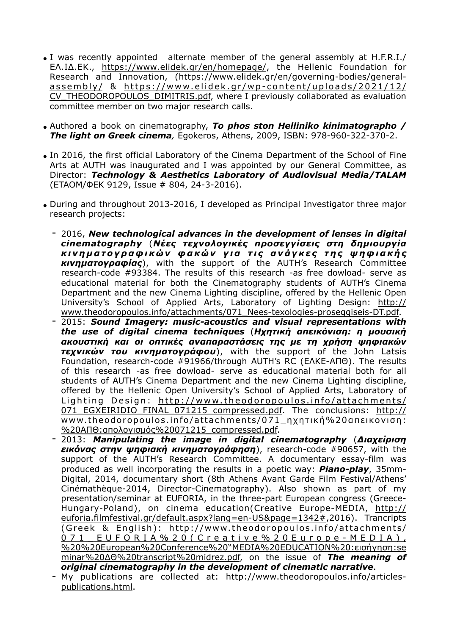- I was recently appointed alternate member of the general assembly at H.F.R.I./ ΕΛ.ΙΔ.ΕΚ., <https://www.elidek.gr/en/homepage/>, the Hellenic Foundation for [Research and Innovation, \(https://www.elidek.gr/en/governing-bodies/general](https://www.elidek.gr/en/governing-bodies/general-assembly/)assembly/ & https://www.elidek.gr/wp-content/uploads/2021/12/ [CV\\_THEODOROPOULOS\\_DIMITRIS.pdf, where I previously collaborated as evaluation](https://www.elidek.gr/wp-content/uploads/2021/12/CV_THEODOROPOULOS_DIMITRIS.pdf)  committee member on two major research calls.
- Authored a book on cinematography, *To phos ston Helliniko kinimatographo / The light on Greek cinema,* Egokeros, Athens, 2009, ISBN: 978-960-322-370-2.
- In 2016, the first official Laboratory of the Cinema Department of the School of Fine Arts at AUTH was inaugurated and I was appointed by our General Committee, as Director: *Technology & Aesthetics Laboratory of Audiovisual Media/TALAM*  (ETAOM/ΦΕΚ 9129, Issue # 804, 24-3-2016).
- During and throughout 2013-2016, I developed as Principal Investigator three major research projects:
	- 2016, *New technological advances in the development of lenses in digital cinematography* (*Νέες τεχνολογικές προσεγγίσεις στη δηµιουργία κ ι ν η µ α τ ο γ ρ α φ ι κ ώ ν φ α κ ώ ν γ ι α τ ι ς α ν ά γ κ ε ς τ η ς ψ η φ ι α κ ή ς κινηµατογραφίας*), with the support of the AUTH's Research Committee research-code #93384. The results of this research -as free dowload- serve as educational material for both the Cinematography students of AUTH's Cinema Department and the new Cinema Lighting discipline, offered by the Hellenic Open [University's School of Applied Arts, Laboratory of Lighting Design: http://](http://www.theodoropoulos.info/attachments/071_Nees-texologies-proseggiseis-DT.pdf) www.theodoropoulos.info/attachments/071\_Nees-texologies-proseggiseis-DT.pdf.
	- 2015: *Sound Imagery: music-acoustics and visual representations with the use of digital cinema techniques* (*Ηχητική απεικόνιση: η µουσική ακουστική και οι οπτικές αναπαραστάσεις της µε τη χρήση ψηφιακών τεχνικών του κινηµατογράφου*), with the support of the John Latsis Foundation, research-code #91966/through AUTH's RC (ΕΛΚΕ-ΑΠΘ). The results of this research -as free dowload- serve as educational material both for all students of AUTH's Cinema Department and the new Cinema Lighting discipline, offered by the Hellenic Open University's School of Applied Arts, Laboratory of Lighting Design: http://www.theodoropoulos.info/attachments/ 071 EGXEIRIDIO FINAL 071215 compressed.pdf. The conclusions: http:// www.theodoropoulos.info/attachments/071\_ηχητική%20απεικονιση: %20ΑΠΘ:απολογισµός%20071215\_compressed.pdf.
	- 2013: *Manipulating the image in digital cinematography* (*Διαχείριση εικόνας στην ψηφιακή κινηµατογράφηση*), research-code #90657, with the support of the AUTH's Research Committee. A documentary essay-film was produced as well incorporating the results in a poetic way: *Piano-play*, 35mm-Digital, 2014, documentary short (8th Athens Avant Garde Film Festival/Athens' Cinémathèque-2014, Director-Cinematography). Also shown as part of my presentation/seminar at EUFORIA, in the three-part European congress (Greece-Hungary-Poland), on cinema education(Creative Europe-MEDIA, http:// [euforia.filmfestival.gr/default.aspx?lang=en-US&page=1342#,2016\). Trancripts](http://euforia.filmfestival.gr/default.aspx?lang=en-US&page=1342#)  (Greek & English): http://www.theodoropoulos.info/attachments/ 071 EUFORIA%20(Creative%20Europe-MEDIA), %20%20European%20Conference%20"MEDIA%20EDUCATION%20:εισήγηση:se minar%20ΔΘ%20transcript%20midrez.pdf, on the issue of *The meaning of original cinematography in the development of cinematic narrative*.
	- [My publications are collected at: http://www.theodoropoulos.info/articles](http://www.theodoropoulos.info/articles-publications.html)publications.html.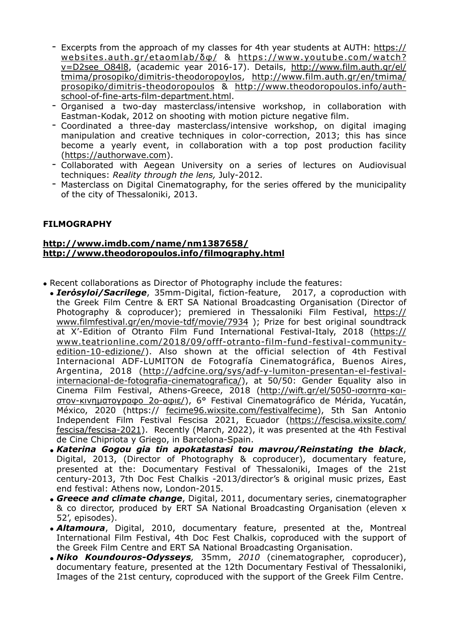- [Excerpts from the approach of my classes for 4th year students at AUTH: https://](https://websites.auth.gr/etaomlab/%CE%B4%CF%86/) websites.auth.gr/etaomlab/δφ/ & https://www.youtube.com/watch? [v=D2see\\_O84l8, \(academic year 2016-17\). Details, http://www.film.auth.gr/el/](https://www.youtube.com/watch?v=D2see_O84l8) [tmima/prosopiko/dimitris-theodoropoylos, http://www.film.auth.gr/en/tmima/](http://www.film.auth.gr/el/tmima/prosopiko/dimitris-theodoropoylos) [prosopiko/dimitris-theodoropoulos & http://www.theodoropoulos.info/auth](http://www.theodoropoulos.info/auth-school-of-fine-arts-film-department.html)school-of-fine-arts-film-department.html.
- Organised a two-day masterclass/intensive workshop, in collaboration with Eastman-Kodak, 2012 on shooting with motion picture negative film.
- Coordinated a three-day masterclass/intensive workshop, on digital imaging manipulation and creative techniques in color-correction, 2013; this has since become a yearly event, in collaboration with a top post production facility ([https://authorwave.com\)](https://authorwave.com).
- Collaborated with Aegean University on a series of lectures on Audiovisual techniques: *Reality through the lens,* July-2012.
- Masterclass on Digital Cinematography, for the series offered by the municipality of the city of Thessaloniki, 2013.

## **FILMOGRAPHY**

#### **<http://www.imdb.com/name/nm1387658/> <http://www.theodoropoulos.info/filmography.html>**

- 
- Recent collaborations as Director of Photography include the features:<br>• **Ierosyloi/Sacrilege**, 35mm-Digital, fiction-feature, 2017, a coproduction with • **Ierósyloi/Sacrilege**, 35mm-Digital, fiction-feature, the Greek Film Centre & ERT SA National Broadcasting Organisation (Director of Photography & coproducer); premiered in Thessaloniki Film Festival, https:// [www.filmfestival.gr/en/movie-tdf/movie/7934 \); Prize for best original soundtrack](https://www.filmfestival.gr/en/movie-tdf/movie/7934)  at X'-Edition of Otranto Film Fund International Festival-Italy, 2018 (https:// www.teatrionline.com/2018/09/offf-otranto-film-fund-festival-community[edition-10-edizione/\). Also shown at the official selection of 4th Festival](https://www.teatrionline.com/2018/09/offf-otranto-film-fund-festival-community-edition-10-edizione/)  Internacional ADF-LUMITON de Fotografía Cinematográfica, Buenos Aires, Argentina, 2018 (http://adfcine.org/sys/adf-y-lumiton-presentan-el-festival[internacional-de-fotografia-cinematografica/\), at 50/50: Gender Equality also in](http://adfcine.org/sys/adf-y-lumiton-presentan-el-festival-internacional-de-fotografia-cinematografica/)  [Cinema Film Festival, Athens-Greece, 2018 \(http://wift.gr/el/5050-](http://wift.gr/el/5050-%CE%B9%CF%83%CE%BF%CF%84%CE%B7%CF%84%CE%B1-%CE%BA%CE%B1%CE%B9-%CF%83%CF%84%CE%BF%CE%BD-%CE%BA%CE%B9%CE%BD%CE%B7%CE%BC%CE%B1%CF%84%CE%BF%CE%B3%CF%81%CE%B1%CF%86%CE%BF_2o-%CE%B1%CF%86%CE%B9%CE%B5/)ισοτητα-καιστον-κινηµατογραφο\_2o-αφιε/), 6° Festival Cinematográfico de Mérida, Yucatán, México, 2020 (https:// [fecime96.wixsite.com/festivalfecime\)](http://fecime96.wixsite.com/festivalfecime), 5th San Antonio Independent Film Festival Fescisa 2021, Ecuador (https://fescisa.wixsite.com/ [fescisa/fescisa-2021\). Recently \(March, 2022\), it was presented at the 4th Festival](https://fescisa.wixsite.com/fescisa/fescisa-2021)  de Cine Chipriota y Griego, in Barcelona-Spain.
	- *Katerina Gogou gia tin apokatastasi tou mavrou/Reinstating the black*, Digital, 2013, (Director of Photography & coproducer), documentary feature, presented at the: Documentary Festival of Thessaloniki, Images of the 21st century-2013, 7th Doc Fest Chalkis -2013/director's & original music prizes, East end festival: Athens now, London-2015.
	- *Greece and climate change*, Digital, 2011, documentary series, cinematographer & co director, produced by ERT SA National Broadcasting Organisation (eleven x 52', episodes).
	- *Altamoura*, Digital, 2010, documentary feature, presented at the, Montreal International Film Festival, 4th Doc Fest Chalkis, coproduced with the support of the Greek Film Centre and ERT SA National Broadcasting Organisation.
	- *Niko Koundouros-Odysseys,* 35mm, *2010* (cinematographer, coproducer), documentary feature, presented at the 12th Documentary Festival of Thessaloniki, Images of the 21st century, coproduced with the support of the Greek Film Centre.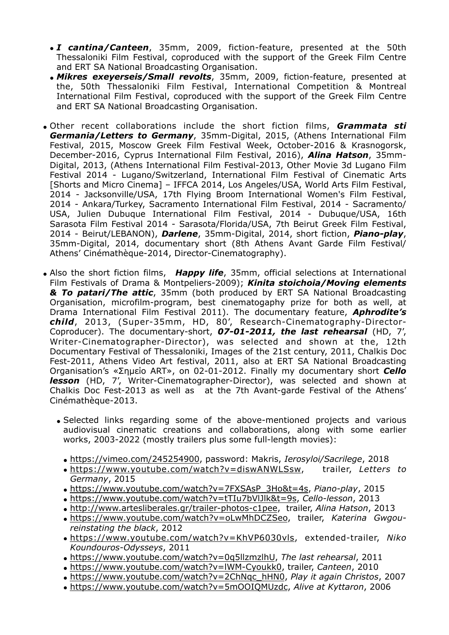- *I cantina/Canteen*, 35mm, 2009, fiction-feature, presented at the 50th Thessaloniki Film Festival, coproduced with the support of the Greek Film Centre and ERT SA National Broadcasting Organisation.
- *Mikres exeyerseis/Small revolts*, 35mm, 2009, fiction-feature, presented at the, 50th Thessaloniki Film Festival, International Competition & Montreal International Film Festival, coproduced with the support of the Greek Film Centre and ERT SA National Broadcasting Organisation.
- Other recent collaborations include the short fiction films, *Grammata sti Germania/Letters to Germany*, 35mm-Digital, 2015, (Athens International Film Festival, 2015, Moscow Greek Film Festival Week, Οctober-2016 & Krasnogorsk, December-2016, Cyprus International Film Festival, 2016), *Alina Hatson*, 35mm-Digital, 2013, (Athens International Film Festival-2013, Other Movie 3d Lugano Film Festival 2014 - Lugano/Switzerland, International Film Festival of Cinematic Arts [Shorts and Micro Cinema] – IFFCA 2014, Los Angeles/USA, World Arts Film Festival, 2014 - Jacksonville/USA, 17th Flying Broom International Women's Film Festival, 2014 - Ankara/Turkey, Sacramento International Film Festival, 2014 - Sacramento/ USA, Julien Dubuque International Film Festival, 2014 - Dubuque/USA, 16th Sarasota Film Festival 2014 - Sarasota/Florida/USA, 7th Beirut Greek Film Festival, 2014 - Beirut/LEBANON), *Darlene*, 35mm-Digital, 2014, short fiction, *Piano-play*, 35mm-Digital, 2014, documentary short (8th Athens Avant Garde Film Festival/ Athens' Cinémathèque-2014, Director-Cinematography).
- Also the short fiction films, *Happy life*, 35mm, official selections at International Film Festivals of Drama & Montpeliers-2009); *Kinita stoichoia/Moving elements & To patari/The attic*, 35mm (both produced by ERT SA National Broadcasting Organisation, microfilm-program, best cinematogaphy prize for both as well, at Drama International Film Festival 2011). The documentary feature, *Aphrodite's child*, 2013, (Super-35mm, HD, 80', Research-Cinematography-Director-Coproducer). The documentary-short, *07-01-2011, the last rehearsal* (HD, 7', Writer-Cinematographer-Director), was selected and shown at the, 12th Documentary Festival of Thessaloniki, Images of the 21st century, 2011, Chalkis Doc Fest-2011, Athens Video Art festival, 2011, also at ERT SA National Broadcasting Organisation's «Σηµείο ART», on 02-01-2012. Finally my documentary short *Cello lesson* (HD, 7', Writer-Cinematographer-Director), was selected and shown at Chalkis Doc Fest-2013 as well as at the 7th Avant-garde Festival of the Athens' Cinémathèque-2013.
	- Selected links regarding some of the above-mentioned projects and various audiovisual cinematic creations and collaborations, along with some earlier works, 2003-2022 (mostly trailers plus some full-length movies):
		- <https://vimeo.com/245254900>, password: Makris, *Ierosyloi/Sacrilege*, 2018
		- <https://www.youtube.com/watch?v=diswANWLSsw>, trailer, *Letters to Germany*, 2015
		- [https://www.youtube.com/watch?v=7FXSAsP\\_3Ho&t=4s,](https://www.youtube.com/watch?v=7FXSAsP_3Ho&t=4s) *Piano-play*, 2015
		- <https://www.youtube.com/watch?v=tTIu7bVlJlk&t=9s>, *Cello-lesson*, 2013
		- [http://www.artesliberales.gr/trailer-photos-c1pee,](http://www.artesliberales.gr/trailer-photos-c1pee) trailer, *Alina Hatson*, 2013
		- <https://www.youtube.com/watch?v=oLwMhDCZSeo>, trailer, *Katerina Gwgoureinstating the black*, 2012
		- <https://www.youtube.com/watch?v=KhVP6030vls>, extended-trailer, *Niko Koundouros-Odysseys*, 2011
		- [https://www.youtube.com/watch?v=0q5llzmzlhU,](https://www.youtube.com/watch?v=0q5llzmzlhU) *Τhe last rehearsal*, 2011
		- <https://www.youtube.com/watch?v=lWM-Cyoukk0>, trailer, *Canteen*, 2010
		- [https://www.youtube.com/watch?v=2ChNqc\\_hHN0](https://www.youtube.com/watch?v=2ChNqc_hHN0), *Play it again Christos*, 2007
		- <https://www.youtube.com/watch?v=5mOOIQMUzdc>, *Alive at Kyttaron*, 2006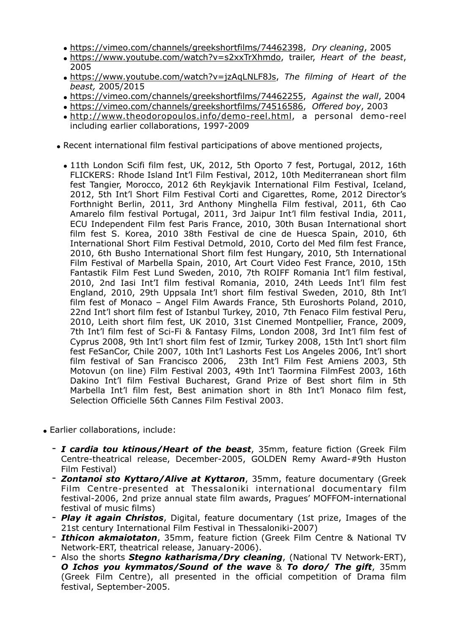- <https://vimeo.com/channels/greekshortfilms/74462398>, *Dry cleaning*, 2005
- <https://www.youtube.com/watch?v=s2xxTrXhmdo>, trailer, *Heart of the beast*, 2005
- <https://www.youtube.com/watch?v=jzAqLNLF8Js>, *The filming of Heart of the beast,* 2005/2015
- <https://vimeo.com/channels/greekshortfilms/74462255>, *Against the wall*, 2004
- <https://vimeo.com/channels/greekshortfilms/74516586>, *Offered boy*, 2003
- <http://www.theodoropoulos.info/demo-reel.html>, a personal demo-reel including earlier collaborations, 1997-2009
- Recent international film festival participations of above mentioned projects,
	- 11th London Scifi film fest, UK, 2012, 5th Oporto 7 fest, Portugal, 2012, 16th FLICKERS: Rhode Island Int'l Film Festival, 2012, 10th Mediterranean short film fest Tangier, Morocco, 2012 6th Reykjavik International Film Festival, Iceland, 2012, 5th Int'l Short Film Festival Corti and Cigarettes, Rome, 2012 Director's Forthnight Berlin, 2011, 3rd Anthony Minghella Film festival, 2011, 6th Cao Amarelo film festival Portugal, 2011, 3rd Jaipur Int'l film festival India, 2011, ECU Independent Film fest Paris France, 2010, 30th Busan International short film fest S. Korea, 2010 38th Festival de cine de Huesca Spain, 2010, 6th International Short Film Festival Detmold, 2010, Corto del Med film fest France, 2010, 6th Busho International Short film fest Hungary, 2010, 5th International Film Festival of Marbella Spain, 2010, Art Court Video Fest France, 2010, 15th Fantastik Film Fest Lund Sweden, 2010, 7th ROIFF Romania Int'l film festival, 2010, 2nd Iasi Int'I film festival Romania, 2010, 24th Leeds Int'l film fest England, 2010, 29th Uppsala Int'l short film festival Sweden, 2010, 8th Int'l film fest of Monaco – Angel Film Awards France, 5th Euroshorts Poland, 2010, 22nd Int'l short film fest of Istanbul Turkey, 2010, 7th Fenaco Film festival Peru, 2010, Leith short film fest, UK 2010, 31st Cinemed Montpellier, France, 2009, 7th Int'l film fest of Sci-Fi & Fantasy Films, London 2008, 3rd Int'l film fest of Cyprus 2008, 9th Int'l short film fest of Izmir, Turkey 2008, 15th Int'l short film fest FeSanCor, Chile 2007, 10th Int'l Lashorts Fest Los Angeles 2006, Int'l short film festival of San Francisco 2006, 23th Int'l Film Fest Amiens 2003, 5th Motovun (on line) Film Festival 2003, 49th Int'l Taormina FilmFest 2003, 16th Dakino Int'l film Festival Bucharest, Grand Prize of Best short film in 5th Marbella Int'l film fest, Best animation short in 8th Int'l Monaco film fest, Selection Officielle 56th Cannes Film Festival 2003.
- Earlier collaborations, include:
	- *I cardia tou ktinous/Heart of the beast*, 35mm, feature fiction (Greek Film Centre-theatrical release, December-2005, GOLDEN Remy Award-#9th Huston Film Festival)
	- *Zontanoi sto Kyttaro/Alive at Kyttaron*, 35mm, feature documentary (Greek Film Centre-presented at Thessaloniki international documentary film festival-2006, 2nd prize annual state film awards, Pragues' MOFFOM-international festival of music films)
	- *Play it again Christos*, Digital, feature documentary (1st prize, Images of the 21st century International Film Festival in Thessaloniki-2007)
	- *Ithicon akmaiotaton*, 35mm, feature fiction (Greek Film Centre & National TV Network-ERT, theatrical release, January-2006).
	- Also the shorts *Stegno katharisma/Dry cleaning*, (National TV Network-ERT), *O Ichos you kymmatos/Sound of the wave* & *To doro/ The gift*, 35mm (Greek Film Centre), all presented in the official competition of Drama film festival, September-2005.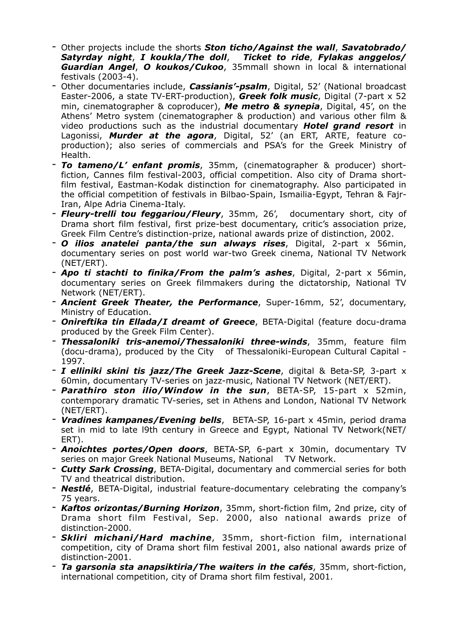- Other projects include the shorts *Ston ticho/Against the wall*, *Savatobrado/ Satyrday night*, *I koukla/The doll*, *Ticket to ride*, *Fylakas anggelos/ Guardian Angel*, *O koukos/Cukoo*, 35mmall shown in local & international festivals (2003-4).
- Other documentaries include, *Cassianis'-psalm*, Digital, 52' (National broadcast Easter-2006, a state TV-ERT-production), *Greek folk music*, Digital (7-part x 52 min, cinematographer & coproducer), *Me metro & synepia*, Digital, 45', on the Athens' Metro system (cinematographer & production) and various other film & video productions such as the industrial documentary *Hotel grand resort* in Lagonissi, *Murder at the agora*, Digital, 52' (an ERT, ARTE, feature coproduction); also series of commercials and PSA's for the Greek Ministry of Health.
- *To tameno/L' enfant promis*, 35mm, (cinematographer & producer) shortfiction, Cannes film festival-2003, official competition. Also city of Drama shortfilm festival, Eastman-Kodak distinction for cinematography. Also participated in the official competition of festivals in Bilbao-Spain, Ismailia-Egypt, Tehran & Fajr-Iran, Alpe Adria Cinema-Italy.
- *Fleury-trelli tou feggariou/Fleury*, 35mm, 26', documentary short, city of Drama short film festival, first prize-best documentary, critic's association prize, Greek Film Centre's distinction-prize, national awards prize of distinction, 2002.
- *O ilios anatelei panta/the sun always rises*, Digital, 2-part x 56min, documentary series on post world war-two Greek cinema, National TV Network (NET/ERT).
- *Apo ti stachti to finika/From the palm's ashes*, Digital, 2-part x 56min, documentary series on Greek filmmakers during the dictatorship, National TV Network (NET/ERT).
- *Ancient Greek Theater, the Performance*, Super-16mm, 52', documentary, Ministry of Education.
- *Onireftika tin Ellada/I dreamt of Greece*, BETA-Digital (feature docu-drama produced by the Greek Film Center).
- *Thessaloniki tris-anemoi/Thessaloniki three-winds*, 35mm, feature film (docu-drama), produced by the City of Thessaloniki-European Cultural Capital - 1997.
- *I elliniki skini tis jazz/The Greek Jazz-Scene*, digital & Beta-SP, 3-part x 60min, documentary TV-series οn jazz-music, National TV Network (NΕΤ/ERT).
- *Parathiro ston ilio/Window in the sun*, BETA-SP, 15-part x 52min, contemporary dramatic TV-series, set in Athens and London, National TV Network (NET/ERT).
- *Vradines kampanes/Evening bells*, BETA-SP, 16-part x 45min, period drama set in mid to late l9th century in Greece and Egypt, National TV Network(NET/ ERT).
- *Anoichtes portes/Open doors*, BETA-SP, 6-part x 30min, documentary TV series οn major Greek National Museums, National TV Network.
- *Cutty Sark Crossing*, BETA-Digital, documentary and commercial series for both TV and theatrical distribution.
- *Nestlé*, BETA-Digital, industrial feature-documentary celebrating the company's 75 years.
- *Kaftos orizontas/Burning Horizon*, 35mm, short-fiction film, 2nd prize, city of Drama short film Festival, Sep. 2000, also national awards prize of distinction-2000.
- *Skliri michani/Hard machine*, 35mm, short-fiction film, international competition, city of Drama short film festival 2001, also national awards prize of distinction-2001.
- *Ta garsonia sta anapsiktiria/The waiters in the cafés*, 35mm, short-fiction, international competition, city of Drama short film festival, 2001.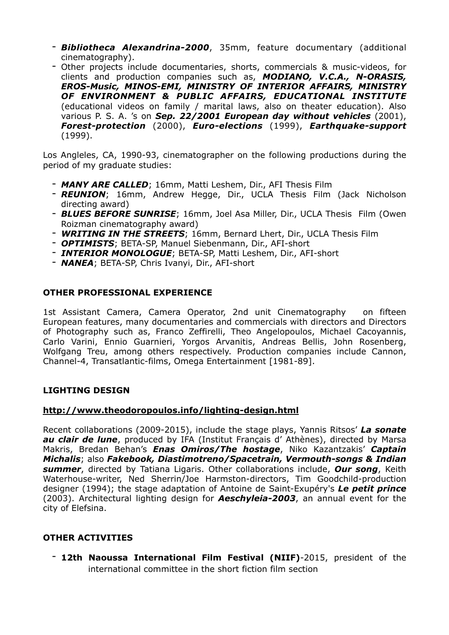- *Bibliotheca Alexandrina-2000*, 35mm, feature documentary (additional cinematography).
- Other projects include documentaries, shorts, commercials & music-videos, for clients and production companies such as, *MODIANO, V.C.A., N-ORASIS, EROS-Music, MINOS-EMI, MINISTRY OF INTERIOR AFFAIRS, MINISTRY OF ENVIRONMENT & PUBLIC AFFAIRS, EDUCATIONAL INSTITUTE* (educational videos on family / marital laws, also on theater education). Also various P. S. A. 's on *Sep. 22/2001 European day without vehicles* (2001), *Forest-protection* (2000), *Euro-elections* (1999), *Earthquake-support* (1999).

Los Angleles, CA, 1990-93, cinematographer οn the following productions during the period of my graduate studies:

- *ΜΑΝΥ ARE CALLED*; 16mm, Matti Leshem, Dir., AFI Thesis Film
- *REUNION*; 16mm, Andrew Hegge, Dir., UCLA Thesis Film (Jack Nicholson directing award)
- *BLUES BEFORE SUNRISE*; 16mm, Joel Asa Miller, Dir., UCLA Thesis Film (Owen Roizman cinematography award)
- *WRITING ΙΝ ΤΗΕ STREETS*; 16mm, Bernard Lhert, Dir., UCLA Thesis Film
- *OPTIMISTS*; BETA-SP, Manuel Siebenmann, Dir., AFI-short
- *INTERIOR MONOLOGUE*; BETA-SP, Matti Leshem, Dir., AFI-short
- *ΝΑΝΕΑ*; BETA-SP, Chris Ivanyi, Dir., AFI-short

## **OTHER PROFESSIONAL EXPERIENCE**

1st Assistant Camera, Camera Operator, 2nd unit Cinematography οn fifteen European features, many documentaries and commercials with directors and Directors of Photography such as, Franco Zeffirelli, Theo Angelopoulos, Michael Cacoyannis, Carlo Varini, Ennio Guarnieri, Yorgos Arvanitis, Andreas Bellis, John Rosenberg, Wolfgang Treu, among others respectively. Production companies include Cannon, Channel-4, Transatlantic-films, Omega Entertainment [1981-89].

### **LIGHTING DESIGN**

# **<http://www.theodoropoulos.info/lighting-design.html>**

Recent collaborations (2009-2015), include the stage plays, Yannis Ritsos' *La sonate au clair de lune*, produced by IFA (Institut Français d' Athènes), directed by Marsa Makris, Bredan Behan's *Enas Omiros/The hostage*, Νiko Kazantzakis' *Captain Michalis*; also *Fakebook, Diastimotreno/Spacetrain, Vermouth-songs & Indian summer*, directed by Tatiana Ligaris. Other collaborations include, *Our song*, Keith Waterhouse-writer, Ned Sherrin/Joe Harmston-directors, Tim Goodchild-production designer (1994); the stage adaptation of Antoine de Saint-Exupéry's *Le petit prince*  (2003). Architectural lighting design for *Aeschyleia-2003*, an annual event for the city of Elefsina.

# **OTHER ACTIVITIES**

- **12th Naoussa International Film Festival (ΝΙΙF)**-2015, president of the international committee in the short fiction film section